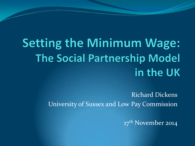# **Setting the Minimum Wage: The Social Partnership Model** in the UK

Richard Dickens University of Sussex and Low Pay Commission

17<sup>th</sup> November 2014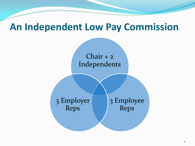#### **An Independent Low Pay Commission**

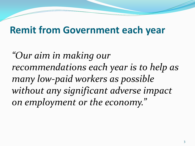## **Remit from Government each year**

*"Our aim in making our recommendations each year is to help as many low-paid workers as possible without any significant adverse impact on employment or the economy."*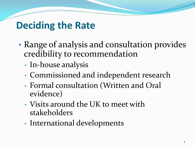## **Deciding the Rate**

- Range of analysis and consultation provides credibility to recommendation
	- In-house analysis
	- Commissioned and independent research
	- Formal consultation (Written and Oral evidence)
	- Visits around the UK to meet with stakeholders
	- International developments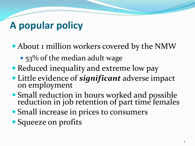## **A popular policy**

- About 1 million workers covered by the NMW
	- 53% of the median adult wage
- Reduced inequality and extreme low pay
- Little evidence of *significant* adverse impact on employment
- Small reduction in hours worked and possible reduction in job retention of part time females
- Small increase in prices to consumers
- Squeeze on profits